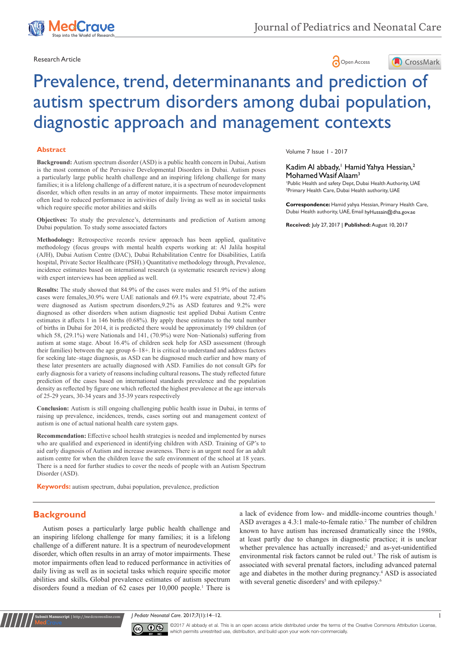

Volume 7 Issue 1 - 2017

Mohamed Wasif Alaam<sup>3</sup>

Research Article **Contracts** 



Kadim Al abbady,<sup>1</sup> Hamid Yahya Hessian,<sup>2</sup>

1 Public Health and safety Dept, Dubai Health Authority, UAE 2 Primary Health Care, Dubai Health authority, UAE

**Correspondence:** Hamid yahya Hessian, Primary Health Care, Dubai Health authority, UAE, Email hyHussain@dha.gov.ae **Received:** July 27, 2017 | **Published:** August 10, 2017



# Prevalence, trend, determinanants and prediction of autism spectrum disorders among dubai population, diagnostic approach and management contexts

#### **Abstract**

**Background:** Autism spectrum disorder (ASD) is a public health concern in Dubai, Autism is the most common of the Pervasive Developmental Disorders in Dubai. Autism poses a particularly large public health challenge and an inspiring lifelong challenge for many families; it is a lifelong challenge of a different nature, it is a spectrum of neurodevelopment disorder, which often results in an array of motor impairments. These motor impairments often lead to reduced performance in activities of daily living as well as in societal tasks which require specific motor abilities and skills

**Objectives:** To study the prevalence's, determinants and prediction of Autism among Dubai population. To study some associated factors

**Methodology:** Retrospective records review approach has been applied, qualitative methodology (focus groups with mental health experts working at: Al Jalila hospital (AJH), Dubai Autism Centre (DAC), Dubai Rehabilitation Centre for Disabilities, Latifa hospital, Private Sector Healthcare (PSH).) Quantitative methodology through, Prevalence, incidence estimates based on international research (a systematic research review) along with expert interviews has been applied as well.

**Results:** The study showed that 84.9% of the cases were males and 51.9% of the autism cases were females,30.9% were UAE nationals and 69.1% were expatriate, about 72.4% were diagnosed as Autism spectrum disorders,9.2% as ASD features and 9.2% were diagnosed as other disorders when autism diagnostic test applied Dubai Autism Centre estimates it affects 1 in 146 births (0.68%). By apply these estimates to the total number of births in Dubai for 2014, it is predicted there would be approximately 199 children (of which 58, (29.1%) were Nationals and 141, (70.9%) were Non–Nationals) suffering from autism at some stage. About 16.4% of children seek help for ASD assessment (through their families) between the age group 6–18+. It is critical to understand and address factors for seeking late–stage diagnosis, as ASD can be diagnosed much earlier and how many of these later presenters are actually diagnosed with ASD. Families do not consult GPs for early diagnosis for a variety of reasons including cultural reasons**.** The study reflected future prediction of the cases based on international standards prevalence and the population density as reflected by figure one which reflected the highest prevalence at the age intervals of 25-29 years, 30-34 years and 35-39 years respectively

**Conclusion:** Autism is still ongoing challenging public health issue in Dubai, in terms of raising up prevalence, incidences, trends, cases sorting out and management context of autism is one of actual national health care system gaps.

**Recommendation:** Effective school health strategies is needed and implemented by nurses who are qualified and experienced in identifying children with ASD. Training of GP's to aid early diagnosis of Autism and increase awareness. There is an urgent need for an adult autism centre for when the children leave the safe environment of the school at 18 years. There is a need for further studies to cover the needs of people with an Autism Spectrum Disorder (ASD).

**Keywords:** autism spectrum, dubai population, prevalence, prediction

## **Background**

**Submit Manuscript** | http://medcraveonline.com

Autism poses a particularly large public health challenge and an inspiring lifelong challenge for many families; it is a lifelong challenge of a different nature. It is a spectrum of neurodevelopment disorder, which often results in an array of motor impairments. These motor impairments often lead to reduced performance in activities of daily living as well as in societal tasks which require specific motor abilities and skills**.** Global prevalence estimates of autism spectrum disorders found a median of 62 cases per 10,000 people.<sup>1</sup> There is

a lack of evidence from low- and middle-income countries though.<sup>1</sup> ASD averages a 4.3:1 male-to-female ratio.<sup>2</sup> The number of children known to have autism has increased dramatically since the 1980s, at least partly due to changes in diagnostic practice; it is unclear whether prevalence has actually increased;<sup>2</sup> and as-yet-unidentified environmental risk factors cannot be ruled out.3 The risk of autism is associated with several prenatal factors, including advanced paternal age and diabetes in the mother during pregnancy.<sup>4</sup> ASD is associated with several genetic disorders<sup>5</sup> and with epilepsy.<sup>6</sup>

*J Pediatr Neonatal Care.* 2017;7(1):14‒12. 1



©2017 Al abbady et al. This is an open access article distributed under the terms of the Creative Commons Attribution License, which permits unrestrited use, distribution, and build upon your work non-commercially.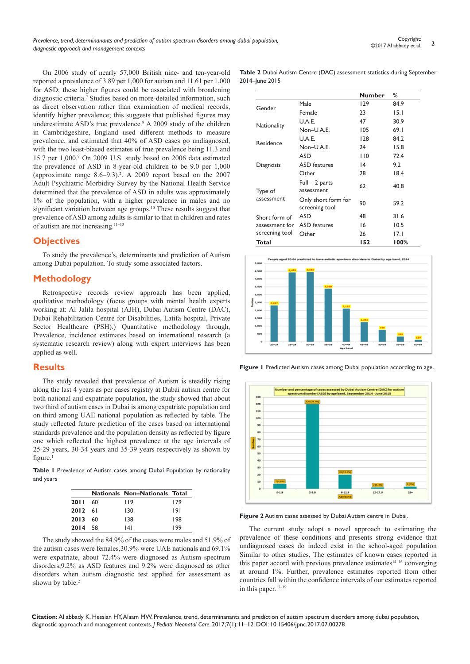On 2006 study of nearly 57,000 British nine- and ten-year-old reported a prevalence of 3.89 per 1,000 for autism and 11.61 per 1,000 for ASD; these higher figures could be associated with broadening diagnostic criteria.<sup>7</sup> Studies based on more-detailed information, such as direct observation rather than examination of medical records, identify higher prevalence; this suggests that published figures may underestimate ASD's true prevalence.<sup>8</sup> A 2009 study of the children in Cambridgeshire, England used different methods to measure prevalence, and estimated that 40% of ASD cases go undiagnosed, with the two least-biased estimates of true prevalence being 11.3 and 15.7 per 1,000.9 On 2009 U.S. study based on 2006 data estimated the prevalence of ASD in 8-year-old children to be 9.0 per 1,000 (approximate range  $8.6-9.3$ ).<sup>2</sup>. A 2009 report based on the 2007 Adult Psychiatric Morbidity Survey by the National Health Service determined that the prevalence of ASD in adults was approximately 1% of the population, with a higher prevalence in males and no significant variation between age groups.10 These results suggest that prevalence of ASD among adults is similar to that in children and rates of autism are not increasing.11–13

## **Objectives**

To study the prevalence's, determinants and prediction of Autism among Dubai population. To study some associated factors.

## **Methodology**

Retrospective records review approach has been applied, qualitative methodology (focus groups with mental health experts working at: Al Jalila hospital (AJH), Dubai Autism Centre (DAC), Dubai Rehabilitation Centre for Disabilities, Latifa hospital, Private Sector Healthcare (PSH).) Quantitative methodology through, Prevalence, incidence estimates based on international research (a systematic research review) along with expert interviews has been applied as well.

#### **Results**

The study revealed that prevalence of Autism is steadily rising along the last 4 years as per cases registry at Dubai autism centre for both national and expatriate population, the study showed that about two third of autism cases in Dubai is among expatriate population and on third among UAE national population as reflected by table. The study reflected future prediction of the cases based on international standards prevalence and the population density as reflected by figure one which reflected the highest prevalence at the age intervals of 25-29 years, 30-34 years and 35-39 years respectively as shown by figure. $1$ 

**Table 1** Prevalence of Autism cases among Dubai Population by nationality and years

|             |      | <b>Nationals Non-Nationals Total</b> |     |
|-------------|------|--------------------------------------|-----|
| <b>2011</b> | - 60 | 119                                  | 179 |
| 2012 61     |      | 130                                  | 191 |
| 2013        | 60   | 138                                  | 198 |
| 2014        | -58  | 141                                  | 199 |

The study showed the 84.9% of the cases were males and 51.9% of the autism cases were females,30.9% were UAE nationals and 69.1% were expatriate, about 72.4% were diagnosed as Autism spectrum disorders,9.2% as ASD features and 9.2% were diagnosed as other disorders when autism diagnostic test applied for assessment as shown by table.<sup>2</sup>

**Table 2** Dubai Autism Centre (DAC) assessment statistics during September 2014–June 2015

|                |                                       | <b>Number</b> | %     |
|----------------|---------------------------------------|---------------|-------|
|                | Male                                  | 129           | 84.9  |
| Gender         | Female                                | 23            | 15. I |
|                | U.A.E.                                | 47            | 30.9  |
| Nationality    | Non-U.A.E.                            | 105           | 69.1  |
|                | U.A.E.                                | 128           | 84.2  |
| Residence      | Non-U.A.E.                            | 24            | 15.8  |
|                | ASD                                   | 110           | 72.4  |
| Diagnosis      | <b>ASD</b> features                   | 14            | 9.2   |
|                | Other                                 | 28            | 18.4  |
| Type of        | $Full - 2 parts$<br>assessment        | 62            | 40.8  |
| assessment     | Only short form for<br>screening tool | 90            | 59.2  |
| Short form of  | ASD                                   | 48            | 31.6  |
| assessment for | <b>ASD</b> features                   | 16            | 10.5  |
| screening tool | Other                                 | 26            | 17.I  |
| Total          |                                       | 152           | 100%  |



**Figure 1** Predicted Autism cases among Dubai population according to age.



**Figure 2** Autism cases assessed by Dubai Autism centre in Dubai.

The current study adopt a novel approach to estimating the prevalence of these conditions and presents strong evidence that undiagnosed cases do indeed exist in the school-aged population Similar to other studies, The estimates of known cases reported in this paper accord with previous prevalence estimates<sup>14-16</sup> converging at around 1%. Further, prevalence estimates reported from other countries fall within the confidence intervals of our estimates reported in this paper.17–19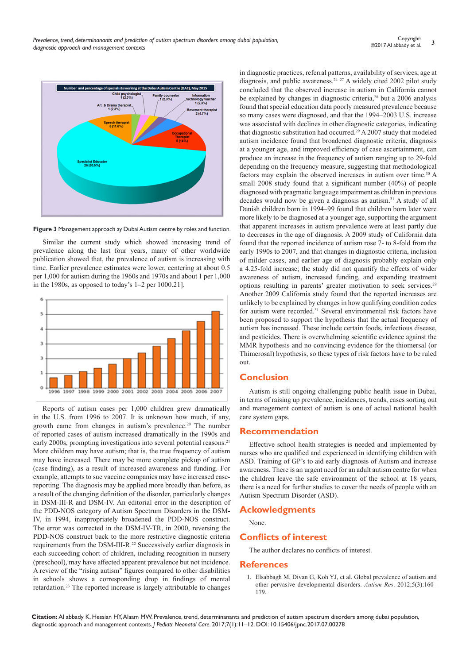

**Figure 3** Management approach ay Dubai Autism centre by roles and function.

Similar the current study which showed increasing trend of prevalence along the last four years, many of other worldwide publication showed that, the prevalence of autism is increasing with time. Earlier prevalence estimates were lower, centering at about 0.5 per 1,000 for autism during the 1960s and 1970s and about 1 per 1,000 in the 1980s, as opposed to today's 1–2 per 1000.21].



Reports of autism cases per 1,000 children grew dramatically in the U.S. from 1996 to 2007. It is unknown how much, if any, growth came from changes in autism's prevalence.<sup>20</sup> The number of reported cases of autism increased dramatically in the 1990s and early 2000s, prompting investigations into several potential reasons.<sup>21</sup> More children may have autism; that is, the true frequency of autism may have increased. There may be more complete pickup of autism (case finding), as a result of increased awareness and funding. For example, attempts to sue vaccine companies may have increased casereporting. The diagnosis may be applied more broadly than before, as a result of the changing definition of the disorder, particularly changes in DSM-III-R and DSM-IV. An editorial error in the description of the PDD-NOS category of Autism Spectrum Disorders in the DSM-IV, in 1994, inappropriately broadened the PDD-NOS construct. The error was corrected in the DSM-IV-TR, in 2000, reversing the PDD-NOS construct back to the more restrictive diagnostic criteria requirements from the DSM-III-R.<sup>22</sup> Successively earlier diagnosis in each succeeding cohort of children, including recognition in nursery (preschool), may have affected apparent prevalence but not incidence. A review of the "rising autism" figures compared to other disabilities in schools shows a corresponding drop in findings of mental retardation.23 The reported increase is largely attributable to changes

in diagnostic practices, referral patterns, availability of services, age at diagnosis, and public awareness. $24-27$  A widely cited 2002 pilot study concluded that the observed increase in autism in California cannot be explained by changes in diagnostic criteria,<sup>28</sup> but a 2006 analysis found that special education data poorly measured prevalence because so many cases were diagnosed, and that the 1994–2003 U.S. increase was associated with declines in other diagnostic categories, indicating that diagnostic substitution had occurred.<sup>29</sup> A 2007 study that modeled autism incidence found that broadened diagnostic criteria, diagnosis at a younger age, and improved efficiency of case ascertainment, can produce an increase in the frequency of autism ranging up to 29-fold depending on the frequency measure, suggesting that methodological factors may explain the observed increases in autism over time.<sup>30</sup> A small 2008 study found that a significant number (40%) of people diagnosed with pragmatic language impairment as children in previous decades would now be given a diagnosis as autism.<sup>31</sup> A study of all Danish children born in 1994–99 found that children born later were more likely to be diagnosed at a younger age, supporting the argument that apparent increases in autism prevalence were at least partly due to decreases in the age of diagnosis. A 2009 study of California data found that the reported incidence of autism rose 7- to 8-fold from the early 1990s to 2007, and that changes in diagnostic criteria, inclusion of milder cases, and earlier age of diagnosis probably explain only a 4.25-fold increase; the study did not quantify the effects of wider awareness of autism, increased funding, and expanding treatment options resulting in parents' greater motivation to seek services.<sup>29</sup> Another 2009 California study found that the reported increases are unlikely to be explained by changes in how qualifying condition codes for autism were recorded.<sup>31</sup> Several environmental risk factors have been proposed to support the hypothesis that the actual frequency of autism has increased. These include certain foods, infectious disease, and pesticides. There is overwhelming scientific evidence against the MMR hypothesis and no convincing evidence for the thiomersal (or Thimerosal) hypothesis, so these types of risk factors have to be ruled out.

## **Conclusion**

Autism is still ongoing challenging public health issue in Dubai, in terms of raising up prevalence, incidences, trends, cases sorting out and management context of autism is one of actual national health care system gaps.

## **Recommendation**

Effective school health strategies is needed and implemented by nurses who are qualified and experienced in identifying children with ASD. Training of GP's to aid early diagnosis of Autism and increase awareness. There is an urgent need for an adult autism centre for when the children leave the safe environment of the school at 18 years, there is a need for further studies to cover the needs of people with an Autism Spectrum Disorder (ASD).

#### **Ackowledgments**

None.

## **Conflicts of interest**

The author declares no conflicts of interest.

#### **References**

1. [Elsabbagh M, Divan G, Koh YJ, et al. Global prevalence of autism and](https://www.ncbi.nlm.nih.gov/pubmed/22495912)  [other pervasive developmental disorders.](https://www.ncbi.nlm.nih.gov/pubmed/22495912) *Autism Res*. 2012;5(3):160– [179.](https://www.ncbi.nlm.nih.gov/pubmed/22495912)